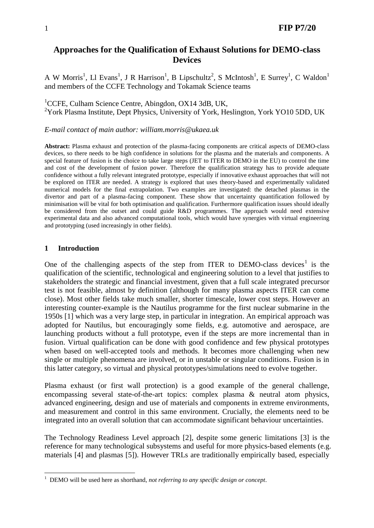# **Approaches for the Qualification of Exhaust Solutions for DEMO-class Devices**

A W Morris<sup>1</sup>, Ll Evans<sup>1</sup>, J R Harrison<sup>1</sup>, B Lipschultz<sup>2</sup>, S McIntosh<sup>1</sup>, E Surrey<sup>1</sup>, C Waldon<sup>1</sup> and members of the CCFE Technology and Tokamak Science teams

<sup>1</sup>CCFE, Culham Science Centre, Abingdon, OX14 3dB, UK, <sup>2</sup>York Plasma Institute, Dept Physics, University of York, Heslington, York YO10 5DD, UK

#### *E-mail contact of main author: william.morris@ukaea.uk*

**Abstract:** Plasma exhaust and protection of the plasma-facing components are critical aspects of DEMO-class devices, so there needs to be high confidence in solutions for the plasma and the materials and components. A special feature of fusion is the choice to take large steps (JET to ITER to DEMO in the EU) to control the time and cost of the development of fusion power. Therefore the qualification strategy has to provide adequate confidence without a fully relevant integrated prototype, especially if innovative exhaust approaches that will not be explored on ITER are needed. A strategy is explored that uses theory-based and experimentally validated numerical models for the final extrapolation. Two examples are investigated: the detached plasmas in the divertor and part of a plasma-facing component. These show that uncertainty quantification followed by minimisation will be vital for both optimisation and qualification. Furthermore qualification issues should ideally be considered from the outset and could guide R&D programmes. The approach would need extensive experimental data and also advanced computational tools, which would have synergies with virtual engineering and prototyping (used increasingly in other fields).

#### **1 Introduction**

 $\overline{a}$ 

One of the challenging aspects of the step from ITER to DEMO-class devices<sup>1</sup> is the qualification of the scientific, technological and engineering solution to a level that justifies to stakeholders the strategic and financial investment, given that a full scale integrated precursor test is not feasible, almost by definition (although for many plasma aspects ITER can come close). Most other fields take much smaller, shorter timescale, lower cost steps. However an interesting counter-example is the Nautilus programme for the first nuclear submarine in the 1950s [1] which was a very large step, in particular in integration. An empirical approach was adopted for Nautilus, but encouragingly some fields, e.g. automotive and aerospace, are launching products without a full prototype, even if the steps are more incremental than in fusion. Virtual qualification can be done with good confidence and few physical prototypes when based on well-accepted tools and methods. It becomes more challenging when new single or multiple phenomena are involved, or in unstable or singular conditions. Fusion is in this latter category, so virtual and physical prototypes/simulations need to evolve together.

Plasma exhaust (or first wall protection) is a good example of the general challenge, encompassing several state-of-the-art topics: complex plasma & neutral atom physics, advanced engineering, design and use of materials and components in extreme environments, and measurement and control in this same environment. Crucially, the elements need to be integrated into an overall solution that can accommodate significant behaviour uncertainties.

The Technology Readiness Level approach [2], despite some generic limitations [3] is the reference for many technological subsystems and useful for more physics-based elements (e.g. materials [4] and plasmas [5]). However TRLs are traditionally empirically based, especially

<sup>&</sup>lt;sup>1</sup> DEMO will be used here as shorthand, *not referring to any specific design or concept*.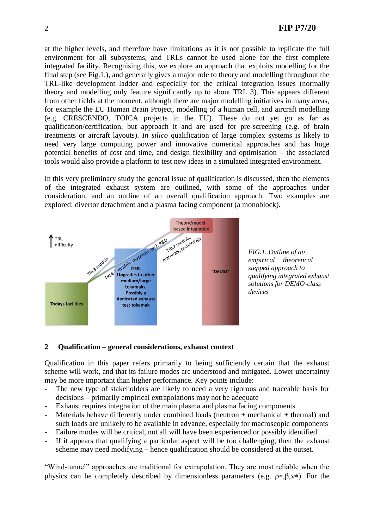at the higher levels, and therefore have limitations as it is not possible to replicate the full environment for all subsystems, and TRLs cannot be used alone for the first complete integrated facility. Recognising this, we explore an approach that exploits modelling for the final step (see Fig.1.), and generally gives a major role to theory and modelling throughout the TRL-like development ladder and especially for the critical integration issues (normally theory and modelling only feature significantly up to about TRL 3). This appears different from other fields at the moment, although there are major modelling initiatives in many areas, for example the EU Human Brain Project, modelling of a human cell, and aircraft modelling (e.g. CRESCENDO, TOICA projects in the EU). These do not yet go as far as qualification/certification, but approach it and are used for pre-screening (e.g. of brain treatments or aircraft layouts). *In silico* qualification of large complex systems is likely to need very large computing power and innovative numerical approaches and has huge potential benefits of cost and time, and design flexibility and optimisation – the associated tools would also provide a platform to test new ideas in a simulated integrated environment.

In this very preliminary study the general issue of qualification is discussed, then the elements of the integrated exhaust system are outlined, with some of the approaches under consideration, and an outline of an overall qualification approach. Two examples are explored: divertor detachment and a plasma facing component (a monoblock).





### **2 Qualification – general considerations, exhaust context**

Qualification in this paper refers primarily to being sufficiently certain that the exhaust scheme will work, and that its failure modes are understood and mitigated. Lower uncertainty may be more important than higher performance. Key points include:

- The new type of stakeholders are likely to need a very rigorous and traceable basis for decisions – primarily empirical extrapolations may not be adequate
- Exhaust requires integration of the main plasma and plasma facing components
- Materials behave differently under combined loads (neutron  $+$  mechanical  $+$  thermal) and such loads are unlikely to be available in advance, especially for macroscopic components
- Failure modes will be critical, not all will have been experienced or possibly identified
- If it appears that qualifying a particular aspect will be too challenging, then the exhaust scheme may need modifying – hence qualification should be considered at the outset.

"Wind-tunnel" approaches are traditional for extrapolation. They are most reliable when the physics can be completely described by dimensionless parameters (e.g.  $\rho*, \beta, v*$ ). For the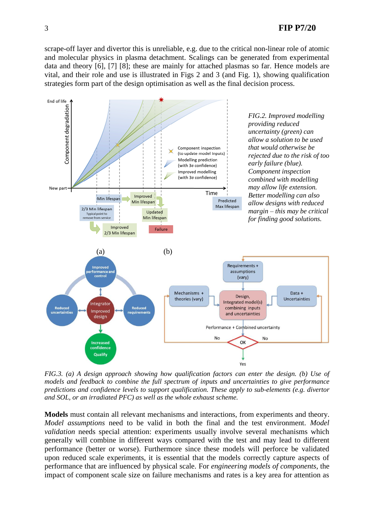# 3 **FIP P7/20**

scrape-off layer and divertor this is unreliable, e.g. due to the critical non-linear role of atomic and molecular physics in plasma detachment. Scalings can be generated from experimental data and theory [6], [7] [8]; these are mainly for attached plasmas so far. Hence models are vital, and their role and use is illustrated in Figs 2 and 3 (and Fig. 1), showing qualification strategies form part of the design optimisation as well as the final decision process.



*FIG.3. (a) A design approach showing how qualification factors can enter the design. (b) Use of models and feedback to combine the full spectrum of inputs and uncertainties to give performance predictions and confidence levels to support qualification. These apply to sub-elements (e.g. divertor and SOL, or an irradiated PFC) as well as the whole exhaust scheme.* 

**Models** must contain all relevant mechanisms and interactions, from experiments and theory. *Model assumptions* need to be valid in both the final and the test environment. *Model validation* needs special attention: experiments usually involve several mechanisms which generally will combine in different ways compared with the test and may lead to different performance (better or worse). Furthermore since these models will perforce be validated upon reduced scale experiments, it is essential that the models correctly capture aspects of performance that are influenced by physical scale. For *engineering models of components*, the impact of component scale size on failure mechanisms and rates is a key area for attention as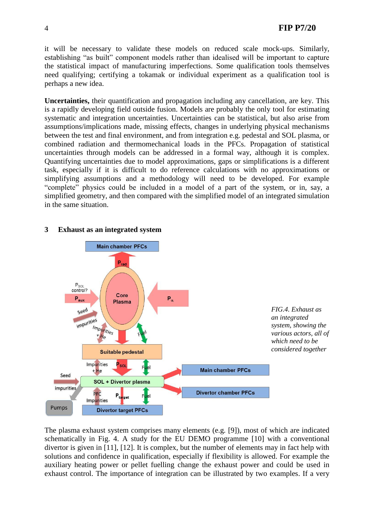it will be necessary to validate these models on reduced scale mock-ups. Similarly, establishing "as built" component models rather than idealised will be important to capture the statistical impact of manufacturing imperfections. Some qualification tools themselves need qualifying; certifying a tokamak or individual experiment as a qualification tool is perhaps a new idea.

**Uncertainties,** their quantification and propagation including any cancellation, are key. This is a rapidly developing field outside fusion. Models are probably the only tool for estimating systematic and integration uncertainties. Uncertainties can be statistical, but also arise from assumptions/implications made, missing effects, changes in underlying physical mechanisms between the test and final environment, and from integration e.g. pedestal and SOL plasma, or combined radiation and thermomechanical loads in the PFCs. Propagation of statistical uncertainties through models can be addressed in a formal way, although it is complex. Quantifying uncertainties due to model approximations, gaps or simplifications is a different task, especially if it is difficult to do reference calculations with no approximations or simplifying assumptions and a methodology will need to be developed. For example "complete" physics could be included in a model of a part of the system, or in, say, a simplified geometry, and then compared with the simplified model of an integrated simulation in the same situation.



## **3 Exhaust as an integrated system**

The plasma exhaust system comprises many elements (e.g. [9]), most of which are indicated schematically in Fig. 4. A study for the EU DEMO programme [10] with a conventional divertor is given in [11], [12]. It is complex, but the number of elements may in fact help with solutions and confidence in qualification, especially if flexibility is allowed. For example the auxiliary heating power or pellet fuelling change the exhaust power and could be used in exhaust control. The importance of integration can be illustrated by two examples. If a very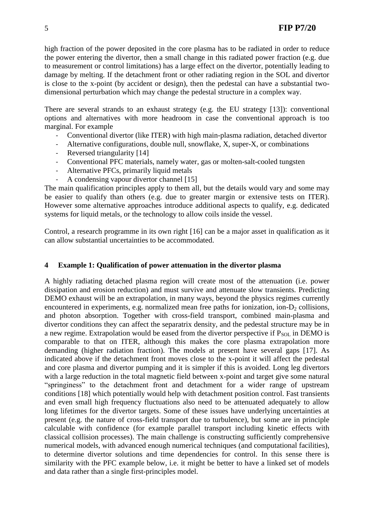high fraction of the power deposited in the core plasma has to be radiated in order to reduce the power entering the divertor, then a small change in this radiated power fraction (e.g. due to measurement or control limitations) has a large effect on the divertor, potentially leading to damage by melting. If the detachment front or other radiating region in the SOL and divertor is close to the x-point (by accident or design), then the pedestal can have a substantial twodimensional perturbation which may change the pedestal structure in a complex way.

There are several strands to an exhaust strategy (e.g. the EU strategy [13]): conventional options and alternatives with more headroom in case the conventional approach is too marginal. For example

- Conventional divertor (like ITER) with high main-plasma radiation, detached divertor
- Alternative configurations, double null, snowflake, X, super-X, or combinations
- Reversed triangularity [14]
- Conventional PFC materials, namely water, gas or molten-salt-cooled tungsten
- Alternative PFCs, primarily liquid metals
- A condensing vapour divertor channel [15]

The main qualification principles apply to them all, but the details would vary and some may be easier to qualify than others (e.g. due to greater margin or extensive tests on ITER). However some alternative approaches introduce additional aspects to qualify, e.g. dedicated systems for liquid metals, or the technology to allow coils inside the vessel.

Control, a research programme in its own right [16] can be a major asset in qualification as it can allow substantial uncertainties to be accommodated.

### **4 Example 1: Qualification of power attenuation in the divertor plasma**

A highly radiating detached plasma region will create most of the attenuation (i.e. power dissipation and erosion reduction) and must survive and attenuate slow transients. Predicting DEMO exhaust will be an extrapolation, in many ways, beyond the physics regimes currently encountered in experiments, e.g. normalized mean free paths for ionization, ion- $D_2$  collisions, and photon absorption. Together with cross-field transport, combined main-plasma and divertor conditions they can affect the separatrix density, and the pedestal structure may be in a new regime. Extrapolation would be eased from the divertor perspective if  $P_{\text{SOL}}$  in DEMO is comparable to that on ITER, although this makes the core plasma extrapolation more demanding (higher radiation fraction). The models at present have several gaps [17]. As indicated above if the detachment front moves close to the x-point it will affect the pedestal and core plasma and divertor pumping and it is simpler if this is avoided. Long leg divertors with a large reduction in the total magnetic field between x-point and target give some natural "springiness" to the detachment front and detachment for a wider range of upstream conditions [18] which potentially would help with detachment position control. Fast transients and even small high frequency fluctuations also need to be attenuated adequately to allow long lifetimes for the divertor targets. Some of these issues have underlying uncertainties at present (e.g. the nature of cross-field transport due to turbulence), but some are in principle calculable with confidence (for example parallel transport including kinetic effects with classical collision processes). The main challenge is constructing sufficiently comprehensive numerical models, with advanced enough numerical techniques (and computational facilities), to determine divertor solutions and time dependencies for control. In this sense there is similarity with the PFC example below, i.e. it might be better to have a linked set of models and data rather than a single first-principles model.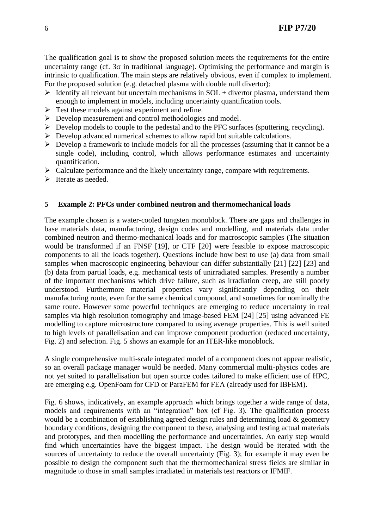The qualification goal is to show the proposed solution meets the requirements for the entire uncertainty range (cf.  $3\sigma$  in traditional language). Optimising the performance and margin is intrinsic to qualification. The main steps are relatively obvious, even if complex to implement. For the proposed solution (e.g. detached plasma with double null divertor):

- $\triangleright$  Identify all relevant but uncertain mechanisms in SOL + divertor plasma, understand them enough to implement in models, including uncertainty quantification tools.
- $\triangleright$  Test these models against experiment and refine.
- Develop measurement and control methodologies and model.
- $\triangleright$  Develop models to couple to the pedestal and to the PFC surfaces (sputtering, recycling).
- $\triangleright$  Develop advanced numerical schemes to allow rapid but suitable calculations.
- $\triangleright$  Develop a framework to include models for all the processes (assuming that it cannot be a single code), including control, which allows performance estimates and uncertainty quantification.
- $\triangleright$  Calculate performance and the likely uncertainty range, compare with requirements.
- $\triangleright$  Iterate as needed.

## **5 Example 2: PFCs under combined neutron and thermomechanical loads**

The example chosen is a water-cooled tungsten monoblock. There are gaps and challenges in base materials data, manufacturing, design codes and modelling, and materials data under combined neutron and thermo-mechanical loads and for macroscopic samples (The situation would be transformed if an FNSF [19], or CTF [20] were feasible to expose macroscopic components to all the loads together). Questions include how best to use (a) data from small samples when macroscopic engineering behaviour can differ substantially [21] [22] [23] and (b) data from partial loads, e.g. mechanical tests of unirradiated samples. Presently a number of the important mechanisms which drive failure, such as irradiation creep, are still poorly understood. Furthermore material properties vary significantly depending on their manufacturing route, even for the same chemical compound, and sometimes for nominally the same route. However some powerful techniques are emerging to reduce uncertainty in real samples via high resolution tomography and image-based FEM [24] [25] using advanced FE modelling to capture microstructure compared to using average properties. This is well suited to high levels of parallelisation and can improve component production (reduced uncertainty, Fig. 2) and selection. Fig. 5 shows an example for an ITER-like monoblock.

A single comprehensive multi-scale integrated model of a component does not appear realistic, so an overall package manager would be needed. Many commercial multi-physics codes are not yet suited to parallelisation but open source codes tailored to make efficient use of HPC, are emerging e.g. OpenFoam for CFD or ParaFEM for FEA (already used for IBFEM).

Fig. 6 shows, indicatively, an example approach which brings together a wide range of data, models and requirements with an "integration" box (cf Fig. 3). The qualification process would be a combination of establishing agreed design rules and determining load & geometry boundary conditions, designing the component to these, analysing and testing actual materials and prototypes, and then modelling the performance and uncertainties. An early step would find which uncertainties have the biggest impact. The design would be iterated with the sources of uncertainty to reduce the overall uncertainty (Fig. 3); for example it may even be possible to design the component such that the thermomechanical stress fields are similar in magnitude to those in small samples irradiated in materials test reactors or IFMIF.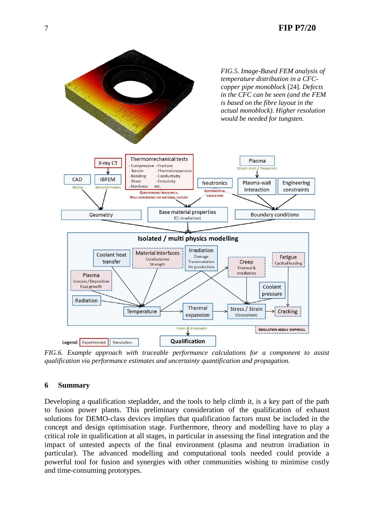

*FIG.6. Example approach with traceable performance calculations for a component to assist qualification via performance estimates and uncertainty quantification and propagation.*

### **6 Summary**

Developing a qualification stepladder, and the tools to help climb it, is a key part of the path to fusion power plants. This preliminary consideration of the qualification of exhaust solutions for DEMO-class devices implies that qualification factors must be included in the concept and design optimisation stage. Furthermore, theory and modelling have to play a critical role in qualification at all stages, in particular in assessing the final integration and the impact of untested aspects of the final environment (plasma and neutron irradiation in particular). The advanced modelling and computational tools needed could provide a powerful tool for fusion and synergies with other communities wishing to minimise costly and time-consuming prototypes.